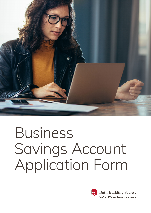

# Business Savings Account Application Form

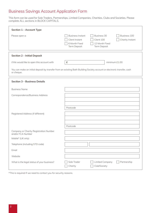# Business Savings Account Application Form

This form can be used for Sole Traders, Partnerships, Limited Companies, Charities, Clubs and Societies. Please complete ALL sections in BLOCK CAPITALS.

| <b>Section 1 - Account Type</b>                             |                                                                                                                                                                              |
|-------------------------------------------------------------|------------------------------------------------------------------------------------------------------------------------------------------------------------------------------|
| Please open a:                                              | <b>Business Instant</b><br>Business 30<br>Business 100<br>Client Instant<br>Client 100<br>Charity Instant<br>6 Month Fixed<br>12 Month Fixed<br>Term Deposit<br>Term Deposit |
| <b>Section 2 - Initial Deposit</b>                          |                                                                                                                                                                              |
| I/We would like to open this account with                   | £<br>minimum £1.00                                                                                                                                                           |
| or cheque.                                                  | You can make an initial deposit by transfer from an existing Bath Building Society account or electronic transfer, cash                                                      |
| <b>Section 3 - Business Details</b>                         |                                                                                                                                                                              |
| <b>Business Name</b>                                        |                                                                                                                                                                              |
| Correspondence/Business Address                             |                                                                                                                                                                              |
| Registered Address (if different)                           | Postcode                                                                                                                                                                     |
| Company or Charity Registration Number<br>and/or FCA Number | Postcode                                                                                                                                                                     |
| Mobile* (UK only)                                           |                                                                                                                                                                              |
| Telephone (including STD code)                              |                                                                                                                                                                              |
| Email                                                       |                                                                                                                                                                              |
| Website                                                     |                                                                                                                                                                              |
| What is the legal status of your business?                  | Partnership<br>Sole Trader<br>Limited Company<br>Club/Society<br>Charity                                                                                                     |

\*This is required if we need to contact you for security reasons.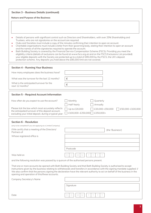#### **Section 3 – Business Details (continued)**

**Nature and Purpose of the Business** 

- Details of persons with significant control such as Directors and Shareholders, with over 25% Shareholding and Trustees, who are not signatories on the account are required.
- Clubs and Societies must include a copy of the minutes confirming their intention to open an account.
- Charitable organisations must include a letter from their governing body, stating their intention to open an account and the names of all the signatories required to operate the account.
- Bath Building Society is covered by the Financial Service Compensation Scheme (FSCS). Providing you meet the eligibility criteria (details of exclusions can be found at www.fscs.org.uk and on the FSCS Exclusions List provided) your eligible deposits with the Society are protected up to a total of £85,000 by the FSCS, the UK's deposit protection scheme. Any deposits you hold above the £85,000 limit are not covered.

| <b>Section 4 - Running Your Business</b>                                                                    |                   |                 |                  |
|-------------------------------------------------------------------------------------------------------------|-------------------|-----------------|------------------|
| How many employees does the business have?                                                                  |                   |                 |                  |
| What was the turnover for the last 12 months?                                                               | £                 |                 |                  |
| What is the anticipated turnover for the<br>next 12 months?                                                 | £                 |                 |                  |
| <b>Section 5 - Required Account Information</b>                                                             |                   |                 |                  |
|                                                                                                             |                   |                 |                  |
| How often do you expect to use the account?                                                                 | Monthly           | Quarterly       |                  |
|                                                                                                             | Half Yearly       | Annually        |                  |
| Please tick the box which most accurately reflects                                                          | Up to £20,000     | £20,000-£50,000 | £50,000-£100,000 |
| the anticipated turnover of this deposit account,<br>excluding your initial deposit, during a typical year: | £100,000-£250,000 | £250,000+       |                  |
|                                                                                                             |                   |                 |                  |
| <b>Section 6 – Resolution</b>                                                                               |                   |                 |                  |
| (only to be completed if you are applying as a Limited Company)                                             |                   |                 |                  |
| I/We certify that a meeting of the Directors/<br>Partners of                                                |                   |                 | (the 'Business') |

| Partners of                                                                            |                              |
|----------------------------------------------------------------------------------------|------------------------------|
| Whose registered office is                                                             |                              |
|                                                                                        |                              |
|                                                                                        |                              |
|                                                                                        | Postcode                     |
| Was held on                                                                            | M M<br>Y<br>$\vee$<br>$\vee$ |
| and the following resolution was passed by a quorum of the authorised persons present. |                              |

That one or more accounts be opened with Bath Building Society and that Bath Building Society is authorised to accept instructions given by the business relating to withdrawals and transfers in accordance with the signing mandate supplied. I/ We also confirm that the persons signing the declaration have the relevant authority to act on behalf of the business in the opening and operation of this/these accounts.

| Company Secretary's Name |                  |
|--------------------------|------------------|
|                          | Signature        |
| Date                     | $\setminus$<br>M |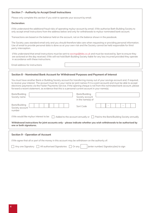#### **Section 7 – Authority to Accept Email Instructions**

Please only complete this section if you wish to operate your account by email.

#### **Declaration:**

I/We understand the additional fraud risks of operating my/our account by email. I/We authorise Bath Building Society to only accept email instructions from the address below and only for withdrawals to my/our nominated bank account.

Transactions are based on the balance held on the account, not on the balance shown in the passbook.

The Society uses standard email only and you should therefore take care when requesting or providing personal information. Use of email to provide personal data is done so at your own risk and the Society cannot be held responsible for third party interception.

I/We understand that email instructions must be sent to savings@bibs.co.uk and must be received by 3pm to ensure they are actioned on the day received. I/We will not hold Bath Building Society liable for any loss incurred provided they operate in accordance with these instructions.

Email address for instructions

#### **Section 8 – Nominated Bank Account for Withdrawal Purposes and Payment of Interest**

You must have another Bank or Building Society account for transferring money out of your savings account and, if required, to receive your interest. The account must be in your name (or joint names if it is a joint account) and must be able to accept electronic payments via the Faster Payments Service. If the opening cheque is not from this nominated bank account, please forward a recent statement, as evidence that this is a personal current account in your name(s).

| Bank/Building<br>Society name                                                                                                                 | Bank/Building<br>Society account<br>in the name(s) of |                                               |
|-----------------------------------------------------------------------------------------------------------------------------------------------|-------------------------------------------------------|-----------------------------------------------|
| Bank/Building<br>Society account<br>number                                                                                                    | Sort Code                                             | $\qquad \qquad -$<br>$\overline{\phantom{0}}$ |
| I/We would like my/our interest to be:<br>Added to the account annually or                                                                    |                                                       | Paid to the Bank/Building Society annually    |
| Withdrawal instructions for joint accounts only - please indicate whether you wish withdrawals to be authorised by<br>one or both signatures. |                                                       |                                               |
|                                                                                                                                               |                                                       |                                               |
| <b>Section 9 - Operation of Account</b>                                                                                                       |                                                       |                                               |
| I/We agree that all or part of the money in this account may be withdrawn on the authority of:                                                |                                                       |                                               |
| Any one Signatory<br>All authorised Signatories                                                                                               | Or any                                                | (enter number) Signatory(ies) to sign         |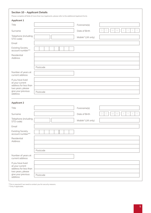|  |  | <b>Section 10 - Applicant Details</b> |  |
|--|--|---------------------------------------|--|
|--|--|---------------------------------------|--|

Please complete all fields (if more than two Applicants, please refer to the additional Applicant form).

|          | Forename(s)<br>Date of Birth<br>Mobile* (UK only) | $\mathbb M$<br>$\Box$<br>$\Box$<br>$\mathbb M$<br>Y<br>Y<br>Y |
|----------|---------------------------------------------------|---------------------------------------------------------------|
| Postcode |                                                   |                                                               |
| Postcode |                                                   |                                                               |
|          |                                                   |                                                               |
|          | Forename(s)                                       |                                                               |
|          |                                                   |                                                               |
|          | Date of Birth                                     | $\mathbb M$<br>$\mathbb M$<br>$\Box$<br>$\Box$                |
|          | Mobile* (UK only)                                 |                                                               |
|          |                                                   |                                                               |
|          |                                                   |                                                               |
|          |                                                   |                                                               |
| Postcode |                                                   |                                                               |
|          |                                                   |                                                               |
|          |                                                   |                                                               |

\*This is required if we need to contact you for security reasons.

\*\*Only if applicable.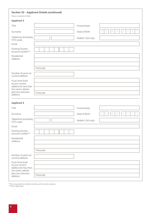| Please complete all fields                                    | <b>Section 10 - Applicant Details (continued)</b> |                   |                                                               |
|---------------------------------------------------------------|---------------------------------------------------|-------------------|---------------------------------------------------------------|
| <b>Applicant 3</b>                                            |                                                   |                   |                                                               |
| Title                                                         |                                                   | Forename(s)       |                                                               |
| Surname                                                       |                                                   | Date of Birth     | $\Box$<br>$\mathbb M$<br>$\mathbb M$<br>Y<br>Y<br>Y<br>$\Box$ |
| Telephone (including<br>STD code)                             |                                                   | Mobile* (UK only) |                                                               |
| Email                                                         |                                                   |                   |                                                               |
| <b>Existing Society</b><br>account number**                   |                                                   |                   |                                                               |
| Residential<br>Address                                        |                                                   |                   |                                                               |
|                                                               |                                                   |                   |                                                               |
|                                                               | Postcode                                          |                   |                                                               |
| Number of years at<br>current address                         |                                                   |                   |                                                               |
| If you have lived<br>at your current<br>address for less than |                                                   |                   |                                                               |
| two years, please<br>give your previous<br>address:           | Postcode                                          |                   |                                                               |
| <b>Applicant 4</b>                                            |                                                   |                   |                                                               |
| Title                                                         |                                                   | Forename(s)       |                                                               |
| Surname                                                       |                                                   | Date of Birth     | D<br>D<br>$\mathbb M$<br>$\mathbb M$<br>Y                     |
| Telephone (including<br>STD code)                             |                                                   | Mobile* (UK only) |                                                               |
| Email                                                         |                                                   |                   |                                                               |
| <b>Existing Society</b><br>account number**                   |                                                   |                   |                                                               |
| Residential<br>Address                                        |                                                   |                   |                                                               |
|                                                               |                                                   |                   |                                                               |
|                                                               | Postcode                                          |                   |                                                               |
| Number of years at<br>current address                         |                                                   |                   |                                                               |
| If you have lived<br>at your current                          |                                                   |                   |                                                               |
| address for less than<br>two years, please                    |                                                   |                   |                                                               |
| give your previous<br>address:                                | Postcode                                          |                   |                                                               |

\*This is required if we need to contact you for security reasons. \*\*Only if applicable.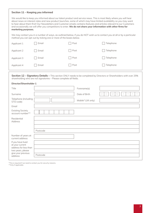#### **Section 11 – Keeping you informed**

We would like to keep you informed about our latest product and service news. This is most likely where you will hear about news on interest rates and new product launches, some of which may have limited availability so you may want to hear about them first! Our Newsletters and Customer emails contains features and articles relevant to our Customers and occasionally we will offer you competitions to enter. **We do not share your information with other firms for marketing purposes.**

We may contact you in a number of ways, as outlined below, if you do NOT wish us to contact you at all or by a particular method you can opt-out by ticking one or more of the boxes below.

| Applicant 1 | Email | Post | Telephone |
|-------------|-------|------|-----------|
| Applicant 2 | Email | Post | Telephone |
| Applicant 3 | Email | Post | Telephone |
| Applicant 4 | Email | Post | Telephone |

**Section 12 – Signatory Details –** This section ONLY needs to be completed by Directors or Shareholders with over 25% shareholding who are not signatories – Please complete all fields.

| Forename(s)<br>D<br>M<br>$\vee$<br>D<br>M<br>Date of Birth<br>Surname<br>Telephone (including<br>Mobile* (UK only)<br>STD code)<br>Email<br><b>Existing Society</b><br>account number**<br>Postcode | Director/Shareholder 1                                        |  |  |
|-----------------------------------------------------------------------------------------------------------------------------------------------------------------------------------------------------|---------------------------------------------------------------|--|--|
|                                                                                                                                                                                                     | Title                                                         |  |  |
|                                                                                                                                                                                                     |                                                               |  |  |
|                                                                                                                                                                                                     |                                                               |  |  |
|                                                                                                                                                                                                     |                                                               |  |  |
|                                                                                                                                                                                                     |                                                               |  |  |
|                                                                                                                                                                                                     | Residential<br>Address                                        |  |  |
|                                                                                                                                                                                                     |                                                               |  |  |
|                                                                                                                                                                                                     | Number of years at<br>current address                         |  |  |
|                                                                                                                                                                                                     | If you have lived<br>at your current<br>address for less than |  |  |
|                                                                                                                                                                                                     | two years, please<br>give your previous                       |  |  |
| Postcode                                                                                                                                                                                            | address:                                                      |  |  |

\*This is required if we need to contact you for security reasons.

\*\*Only if applicable.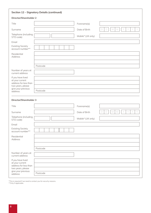|                                                               | <b>Section 12 - Signatory Details (continued)</b> |                   |                                                |
|---------------------------------------------------------------|---------------------------------------------------|-------------------|------------------------------------------------|
| <b>Director/Shareholder 2</b>                                 |                                                   |                   |                                                |
| Title                                                         |                                                   | Forename(s)       |                                                |
| Surname                                                       |                                                   | Date of Birth     | $\Box$<br>$\mathbb M$<br>$\vee$<br>D<br>M      |
| Telephone (including<br>STD code)                             |                                                   | Mobile* (UK only) |                                                |
| Email                                                         |                                                   |                   |                                                |
| <b>Existing Society</b><br>account number**                   |                                                   |                   |                                                |
| Residential<br>Address                                        |                                                   |                   |                                                |
|                                                               | Postcode                                          |                   |                                                |
| Number of years at<br>current address                         |                                                   |                   |                                                |
| If you have lived<br>at your current                          |                                                   |                   |                                                |
| address for less than<br>two years, please                    |                                                   |                   |                                                |
| give your previous<br>address:                                | Postcode                                          |                   |                                                |
| <b>Director/Shareholder 3</b>                                 |                                                   |                   |                                                |
| Title                                                         |                                                   | Forename(s)       |                                                |
| Surname                                                       |                                                   | Date of Birth     | $\mathbb M$<br>$\mathbb M$<br>$\Box$<br>$\Box$ |
| Telephone (including<br>STD code)                             |                                                   | Mobile* (UK only) |                                                |
| Email                                                         | $\Box$                                            |                   |                                                |
| <b>Existing Society</b><br>account number**                   |                                                   |                   |                                                |
| Residential<br>Address                                        |                                                   |                   |                                                |
|                                                               |                                                   |                   |                                                |
| Number of years at                                            | Postcode                                          |                   |                                                |
| current address                                               |                                                   |                   |                                                |
| If you have lived<br>at your current<br>address for less than |                                                   |                   |                                                |
| two years, please<br>give your previous                       |                                                   |                   |                                                |
| address:                                                      | Postcode                                          |                   |                                                |

\*This is required if we need to contact you for security reasons.

\*\*Only if applicable.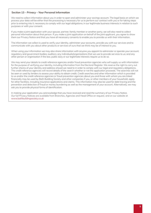## **Section 13 – Privacy – Your Personal Information**

We need to collect information about you in order to open and administer your savings account. The legal basis on which we process your data will be either that the processing is necessary for us to perform our contract with you or for taking steps prior to entering into it; necessary to comply with our legal obligations; in our legitimate business interests in relation to such purposes or with your consent.

If you make a joint application with your spouse, partner, family member or another party, we will also need to collect personal information about that person. If you make a joint application on behalf of the joint applicant, you agree to show them our Privacy Notice and that you have all necessary consents to enable you to provide us with their information.

The information we collect is used to verify your identity, administer your accounts, provide you with our services and to communicate with you about other products or services of ours that we think may be of interest to you.

When using your information we may also share information with anyone you appoint to administer or operate your account; regulatory and government bodies; auditors; any individuals/organisations that we use to provide services to us; and any other person or organisation if the law, public duty or our legitimate interests require us to do so.

We may send your details to credit reference agencies and/or fraud prevention agencies who will supply us with information for the purpose of verifying your identity, including information from the Electoral Register. We reserve the right to carry out further checks of your identity and address should we need to in order to comply with our legal and regulatory obligations. The credit reference agencies will record details of the search whether or not the application proceeds. The searches will not be seen or used by lenders to assess your ability to obtain credit. Credit searches and other information which is provided to us and/or the credit reference agencies or fraud prevention agencies about you and those with whom you are linked financially may be used by Bath Building Society and other companies if you, or other members of your household, apply for other facilities, including insurance applications and claims. This information may also be used for debt tracing and the prevention and detection of fraud or money laundering as well as the management of your account. Alternatively, we may ask you to provide physical forms of identification.

In making your application you acknowledge that you have received and read the summary of our Privacy Notice. Our full Privacy Notices are available from Branches, Agencies and Head Office on request, and on our website at www.bathbuildingsociety.co.uk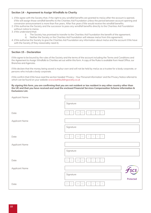## **Section 14 – Agreement to Assign Windfalls to Charity**

- 1. I/We agree with the Society that, if the right to any windfall benefits are granted to me/us after the account is opened, I/We will assign those windfall benefits to the Charities Aid Foundation unless the period between account opening and conversion announcement is more than five years. After five years I/We would receive the windfall benefits.
- 2. I/We authorise the Society and the successor to pass any windfall benefits directly to the Charities Aid Foundation without notice to me/us.
- 3. I/We understand that:
	- i) The Society has promised to transfer to the Charities Aid Foundation the benefit of the agreement;
	- ii) Neither the Society or the Charities Aid Foundation will release me/us from this agreement;
- 4. I/We authorise the Society to give the Charities Aid Foundation any information about me/us and the account I/We have with the Society (if they reasonably need it).

#### **Section 15 – Declaration**

I/We aaree to be bound by the rules of the Society and the terms of the account including the Terms and Conditions and the Agreement to Assign Windfalls to Charities set out within this form. A copy of the Rules is available from Head Office, our Branches and Agencies.

I/We declare that the money being saved is my/our own and will not be held by me/us as a trustee for a body corporate, or persons who include a body corporate.

I/We confirm that I/We have read the section headed 'Privacy – Your Personal Information' and the Privacy Notice referred to which can be found on your website www.bathbuildingsociety.co.uk

**By signing this form, you are confirming that you are not resident or tax resident in any other country other than the UK and that you have received and read the enclosed Financial Services Compensation Scheme information & Exclusions List.**

| Applicant Name |                                                                    |           |
|----------------|--------------------------------------------------------------------|-----------|
|                | Signature                                                          |           |
| Date           | Y<br>Y<br>$\mathbb M$<br>$\mathbb M$<br>Y<br>Y<br>$\Box$<br>$\Box$ |           |
| Applicant Name |                                                                    |           |
|                | Signature                                                          |           |
| Date           | Y<br>$\mathbb M$<br>Y<br>Y<br>Y<br>$\Box$<br>M<br>D                |           |
| Applicant Name |                                                                    |           |
|                | Signature                                                          |           |
| Date           | Y<br>Y<br>M<br>M<br>Y<br>$\Box$<br>$\Box$<br>Y                     |           |
| Applicant Name |                                                                    |           |
|                | Signature                                                          | Protected |
| Date           | Y<br>Y<br>$\mathbb M$<br>$\mathbb M$<br>Y<br>D<br>D                |           |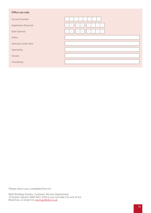## **Office use only**

| <b>Account Number</b>       |                    |
|-----------------------------|--------------------|
| <b>Application Received</b> | Ð<br>M<br>L<br>IVI |
| Date Opened                 | D<br>M             |
| Office                      |                    |
| Welcome Letter Sent         |                    |
| Opened by                   |                    |
| Version                     |                    |
| Checked by                  |                    |
|                             |                    |

Please return your completed form to:

Bath Building Society, Customer Service Department, 15 Queen Square, Bath BA1 2HN or you can take it to one of our Branches, or email it to <u>savings@bibs.co.uk</u>